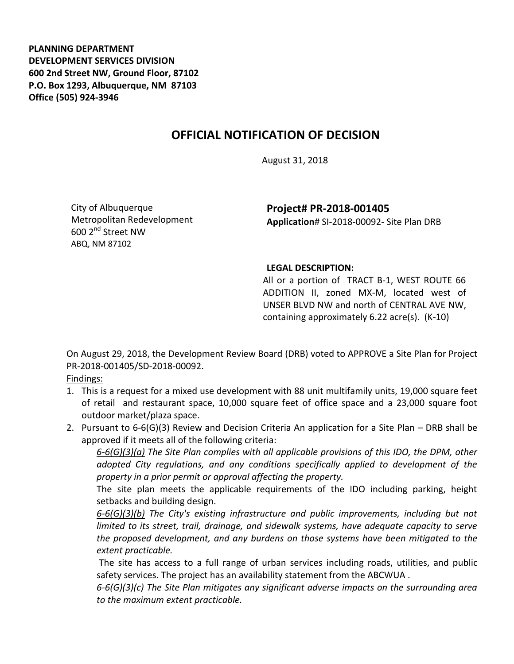**PLANNING DEPARTMENT DEVELOPMENT SERVICES DIVISION 600 2nd Street NW, Ground Floor, 87102 P.O. Box 1293, Albuquerque, NM 87103 Office (505) 924-3946** 

## **OFFICIAL NOTIFICATION OF DECISION**

August 31, 2018

City of Albuquerque Metropolitan Redevelopment 600 2nd Street NW ABQ, NM 87102

**Project# PR-2018-001405 Application**# SI-2018-00092- Site Plan DRB

## **LEGAL DESCRIPTION:**

All or a portion of TRACT B-1, WEST ROUTE 66 ADDITION II, zoned MX-M, located west of UNSER BLVD NW and north of CENTRAL AVE NW, containing approximately 6.22 acre(s). (K-10)

On August 29, 2018, the Development Review Board (DRB) voted to APPROVE a Site Plan for Project PR-2018-001405/SD-2018-00092.

Findings:

- 1. This is a request for a mixed use development with 88 unit multifamily units, 19,000 square feet of retail and restaurant space, 10,000 square feet of office space and a 23,000 square foot outdoor market/plaza space.
- 2. Pursuant to 6-6(G)(3) Review and Decision Criteria An application for a Site Plan DRB shall be approved if it meets all of the following criteria:

*6-6(G)(3)(a) The Site Plan complies with all applicable provisions of this IDO, the DPM, other adopted City regulations, and any conditions specifically applied to development of the property in a prior permit or approval affecting the property.* 

The site plan meets the applicable requirements of the IDO including parking, height setbacks and building design.

*6-6(G)(3)(b) The City's existing infrastructure and public improvements, including but not limited to its street, trail, drainage, and sidewalk systems, have adequate capacity to serve the proposed development, and any burdens on those systems have been mitigated to the extent practicable.* 

The site has access to a full range of urban services including roads, utilities, and public safety services. The project has an availability statement from the ABCWUA .

*6-6(G)(3)(c) The Site Plan mitigates any significant adverse impacts on the surrounding area to the maximum extent practicable.*